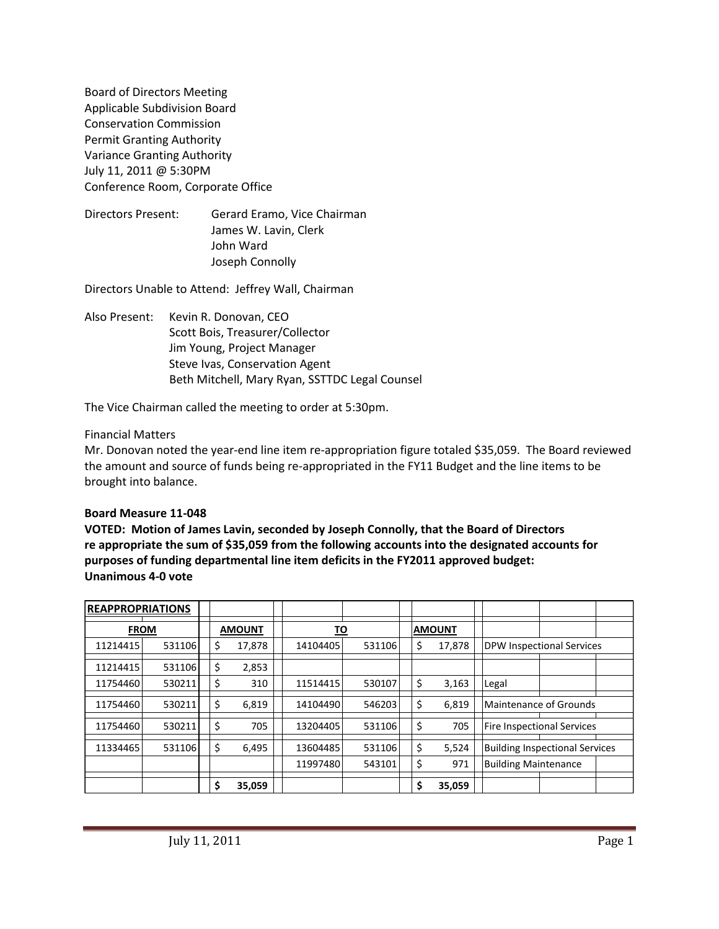Board of Directors Meeting Applicable Subdivision Board Conservation Commission Permit Granting Authority Variance Granting Authority July 11, 2011 @ 5:30PM Conference Room, Corporate Office

Directors Present: Gerard Eramo, Vice Chairman James W. Lavin, Clerk John Ward Joseph Connolly

Directors Unable to Attend: Jeffrey Wall, Chairman

Also Present: Kevin R. Donovan, CEO Scott Bois, Treasurer/Collector Jim Young, Project Manager Steve Ivas, Conservation Agent Beth Mitchell, Mary Ryan, SSTTDC Legal Counsel

The Vice Chairman called the meeting to order at 5:30pm.

#### Financial Matters

Mr. Donovan noted the year-end line item re-appropriation figure totaled \$35,059. The Board reviewed the amount and source of funds being re-appropriated in the FY11 Budget and the line items to be brought into balance.

#### **Board Measure 11-048**

**VOTED: Motion of James Lavin, seconded by Joseph Connolly, that the Board of Directors re appropriate the sum of \$35,059 from the following accounts into the designated accounts for purposes of funding departmental line item deficits in the FY2011 approved budget: Unanimous 4-0 vote**

| <b>REAPPROPRIATIONS</b> |        |               |  |           |        |               |        |                                       |  |  |
|-------------------------|--------|---------------|--|-----------|--------|---------------|--------|---------------------------------------|--|--|
| <b>FROM</b>             |        | <b>AMOUNT</b> |  | <u>TO</u> |        | <b>AMOUNT</b> |        |                                       |  |  |
| 11214415                | 531106 | \$<br>17.878  |  | 14104405  | 531106 | \$            | 17,878 | <b>DPW Inspectional Services</b>      |  |  |
| 11214415                | 531106 | \$<br>2,853   |  |           |        |               |        |                                       |  |  |
| 11754460                | 530211 | \$<br>310     |  | 11514415  | 530107 | \$            | 3,163  | Legal                                 |  |  |
| 11754460                | 530211 | \$<br>6,819   |  | 14104490  | 546203 | \$            | 6.819  | Maintenance of Grounds                |  |  |
| 11754460                | 530211 | \$<br>705     |  | 13204405  | 531106 | \$            | 705    | Fire Inspectional Services            |  |  |
| 11334465                | 531106 | \$<br>6,495   |  | 13604485  | 531106 | \$            | 5,524  | <b>Building Inspectional Services</b> |  |  |
|                         |        |               |  | 11997480  | 543101 | \$            | 971    | <b>Building Maintenance</b>           |  |  |
|                         |        | \$<br>35,059  |  |           |        | \$            | 35,059 |                                       |  |  |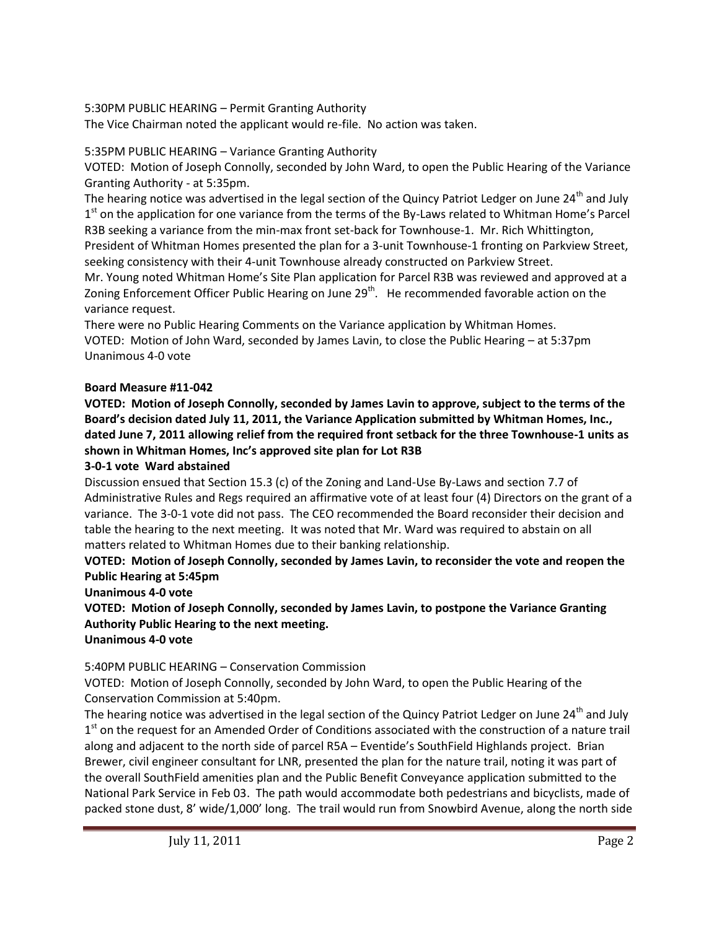5:30PM PUBLIC HEARING – Permit Granting Authority

The Vice Chairman noted the applicant would re-file. No action was taken.

## 5:35PM PUBLIC HEARING – Variance Granting Authority

VOTED: Motion of Joseph Connolly, seconded by John Ward, to open the Public Hearing of the Variance Granting Authority - at 5:35pm.

The hearing notice was advertised in the legal section of the Quincy Patriot Ledger on June 24<sup>th</sup> and July 1<sup>st</sup> on the application for one variance from the terms of the By-Laws related to Whitman Home's Parcel R3B seeking a variance from the min-max front set-back for Townhouse-1. Mr. Rich Whittington, President of Whitman Homes presented the plan for a 3-unit Townhouse-1 fronting on Parkview Street, seeking consistency with their 4-unit Townhouse already constructed on Parkview Street.

Mr. Young noted Whitman Home's Site Plan application for Parcel R3B was reviewed and approved at a Zoning Enforcement Officer Public Hearing on June 29<sup>th</sup>. He recommended favorable action on the variance request.

There were no Public Hearing Comments on the Variance application by Whitman Homes. VOTED: Motion of John Ward, seconded by James Lavin, to close the Public Hearing – at 5:37pm Unanimous 4-0 vote

## **Board Measure #11-042**

**VOTED: Motion of Joseph Connolly, seconded by James Lavin to approve, subject to the terms of the Board's decision dated July 11, 2011, the Variance Application submitted by Whitman Homes, Inc., dated June 7, 2011 allowing relief from the required front setback for the three Townhouse-1 units as shown in Whitman Homes, Inc's approved site plan for Lot R3B**

## **3-0-1 vote Ward abstained**

Discussion ensued that Section 15.3 (c) of the Zoning and Land-Use By-Laws and section 7.7 of Administrative Rules and Regs required an affirmative vote of at least four (4) Directors on the grant of a variance. The 3-0-1 vote did not pass. The CEO recommended the Board reconsider their decision and table the hearing to the next meeting. It was noted that Mr. Ward was required to abstain on all matters related to Whitman Homes due to their banking relationship.

# **VOTED: Motion of Joseph Connolly, seconded by James Lavin, to reconsider the vote and reopen the Public Hearing at 5:45pm**

### **Unanimous 4-0 vote**

**VOTED: Motion of Joseph Connolly, seconded by James Lavin, to postpone the Variance Granting Authority Public Hearing to the next meeting.**

# **Unanimous 4-0 vote**

# 5:40PM PUBLIC HEARING – Conservation Commission

VOTED: Motion of Joseph Connolly, seconded by John Ward, to open the Public Hearing of the Conservation Commission at 5:40pm.

The hearing notice was advertised in the legal section of the Quincy Patriot Ledger on June 24<sup>th</sup> and July 1<sup>st</sup> on the request for an Amended Order of Conditions associated with the construction of a nature trail along and adjacent to the north side of parcel R5A – Eventide's SouthField Highlands project. Brian Brewer, civil engineer consultant for LNR, presented the plan for the nature trail, noting it was part of the overall SouthField amenities plan and the Public Benefit Conveyance application submitted to the National Park Service in Feb 03. The path would accommodate both pedestrians and bicyclists, made of packed stone dust, 8' wide/1,000' long. The trail would run from Snowbird Avenue, along the north side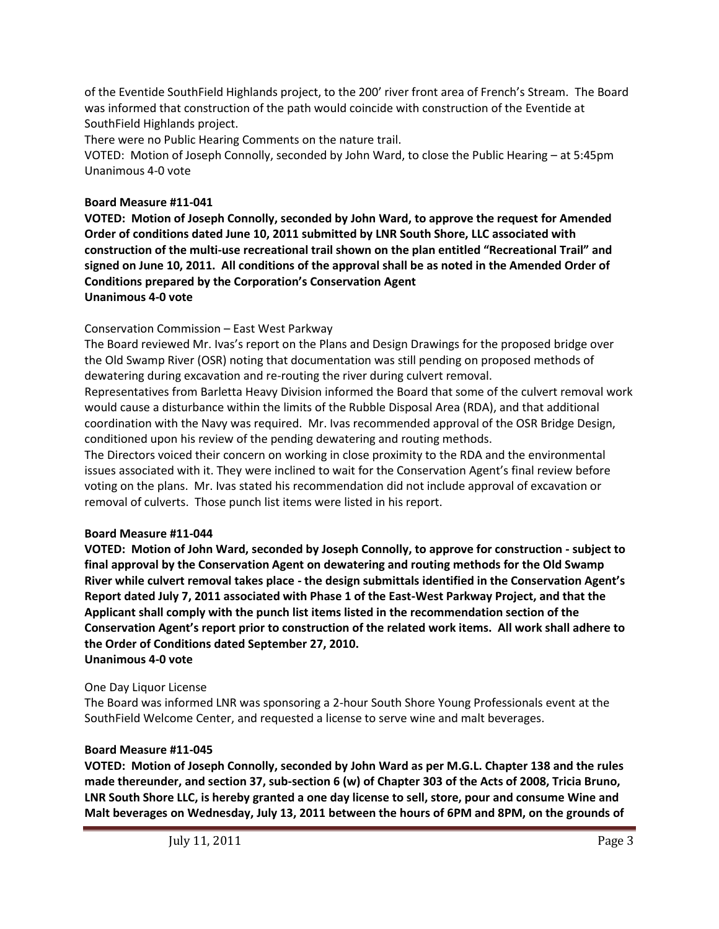of the Eventide SouthField Highlands project, to the 200' river front area of French's Stream. The Board was informed that construction of the path would coincide with construction of the Eventide at SouthField Highlands project.

There were no Public Hearing Comments on the nature trail.

VOTED: Motion of Joseph Connolly, seconded by John Ward, to close the Public Hearing – at 5:45pm Unanimous 4-0 vote

## **Board Measure #11-041**

**VOTED: Motion of Joseph Connolly, seconded by John Ward, to approve the request for Amended Order of conditions dated June 10, 2011 submitted by LNR South Shore, LLC associated with construction of the multi-use recreational trail shown on the plan entitled "Recreational Trail" and signed on June 10, 2011. All conditions of the approval shall be as noted in the Amended Order of Conditions prepared by the Corporation's Conservation Agent Unanimous 4-0 vote**

## Conservation Commission – East West Parkway

The Board reviewed Mr. Ivas's report on the Plans and Design Drawings for the proposed bridge over the Old Swamp River (OSR) noting that documentation was still pending on proposed methods of dewatering during excavation and re-routing the river during culvert removal.

Representatives from Barletta Heavy Division informed the Board that some of the culvert removal work would cause a disturbance within the limits of the Rubble Disposal Area (RDA), and that additional coordination with the Navy was required. Mr. Ivas recommended approval of the OSR Bridge Design, conditioned upon his review of the pending dewatering and routing methods.

The Directors voiced their concern on working in close proximity to the RDA and the environmental issues associated with it. They were inclined to wait for the Conservation Agent's final review before voting on the plans. Mr. Ivas stated his recommendation did not include approval of excavation or removal of culverts. Those punch list items were listed in his report.

### **Board Measure #11-044**

**VOTED: Motion of John Ward, seconded by Joseph Connolly, to approve for construction - subject to final approval by the Conservation Agent on dewatering and routing methods for the Old Swamp River while culvert removal takes place - the design submittals identified in the Conservation Agent's Report dated July 7, 2011 associated with Phase 1 of the East-West Parkway Project, and that the Applicant shall comply with the punch list items listed in the recommendation section of the Conservation Agent's report prior to construction of the related work items. All work shall adhere to the Order of Conditions dated September 27, 2010. Unanimous 4-0 vote**

### One Day Liquor License

The Board was informed LNR was sponsoring a 2-hour South Shore Young Professionals event at the SouthField Welcome Center, and requested a license to serve wine and malt beverages.

### **Board Measure #11-045**

**VOTED: Motion of Joseph Connolly, seconded by John Ward as per M.G.L. Chapter 138 and the rules made thereunder, and section 37, sub-section 6 (w) of Chapter 303 of the Acts of 2008, Tricia Bruno, LNR South Shore LLC, is hereby granted a one day license to sell, store, pour and consume Wine and Malt beverages on Wednesday, July 13, 2011 between the hours of 6PM and 8PM, on the grounds of**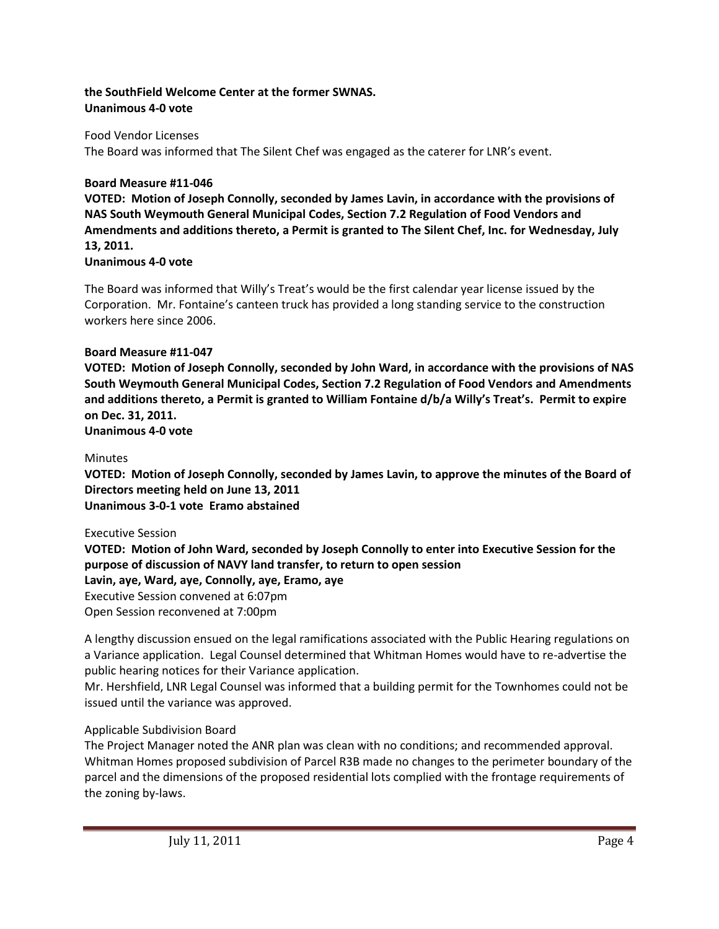## **the SouthField Welcome Center at the former SWNAS. Unanimous 4-0 vote**

### Food Vendor Licenses

The Board was informed that The Silent Chef was engaged as the caterer for LNR's event.

### **Board Measure #11-046**

**VOTED: Motion of Joseph Connolly, seconded by James Lavin, in accordance with the provisions of NAS South Weymouth General Municipal Codes, Section 7.2 Regulation of Food Vendors and Amendments and additions thereto, a Permit is granted to The Silent Chef, Inc. for Wednesday, July 13, 2011.**

#### **Unanimous 4-0 vote**

The Board was informed that Willy's Treat's would be the first calendar year license issued by the Corporation. Mr. Fontaine's canteen truck has provided a long standing service to the construction workers here since 2006.

#### **Board Measure #11-047**

**VOTED: Motion of Joseph Connolly, seconded by John Ward, in accordance with the provisions of NAS South Weymouth General Municipal Codes, Section 7.2 Regulation of Food Vendors and Amendments and additions thereto, a Permit is granted to William Fontaine d/b/a Willy's Treat's. Permit to expire on Dec. 31, 2011.**

**Unanimous 4-0 vote**

#### Minutes

**VOTED: Motion of Joseph Connolly, seconded by James Lavin, to approve the minutes of the Board of Directors meeting held on June 13, 2011 Unanimous 3-0-1 vote Eramo abstained**

#### Executive Session

**VOTED: Motion of John Ward, seconded by Joseph Connolly to enter into Executive Session for the purpose of discussion of NAVY land transfer, to return to open session Lavin, aye, Ward, aye, Connolly, aye, Eramo, aye** Executive Session convened at 6:07pm Open Session reconvened at 7:00pm

A lengthy discussion ensued on the legal ramifications associated with the Public Hearing regulations on a Variance application. Legal Counsel determined that Whitman Homes would have to re-advertise the public hearing notices for their Variance application.

Mr. Hershfield, LNR Legal Counsel was informed that a building permit for the Townhomes could not be issued until the variance was approved.

### Applicable Subdivision Board

The Project Manager noted the ANR plan was clean with no conditions; and recommended approval. Whitman Homes proposed subdivision of Parcel R3B made no changes to the perimeter boundary of the parcel and the dimensions of the proposed residential lots complied with the frontage requirements of the zoning by-laws.